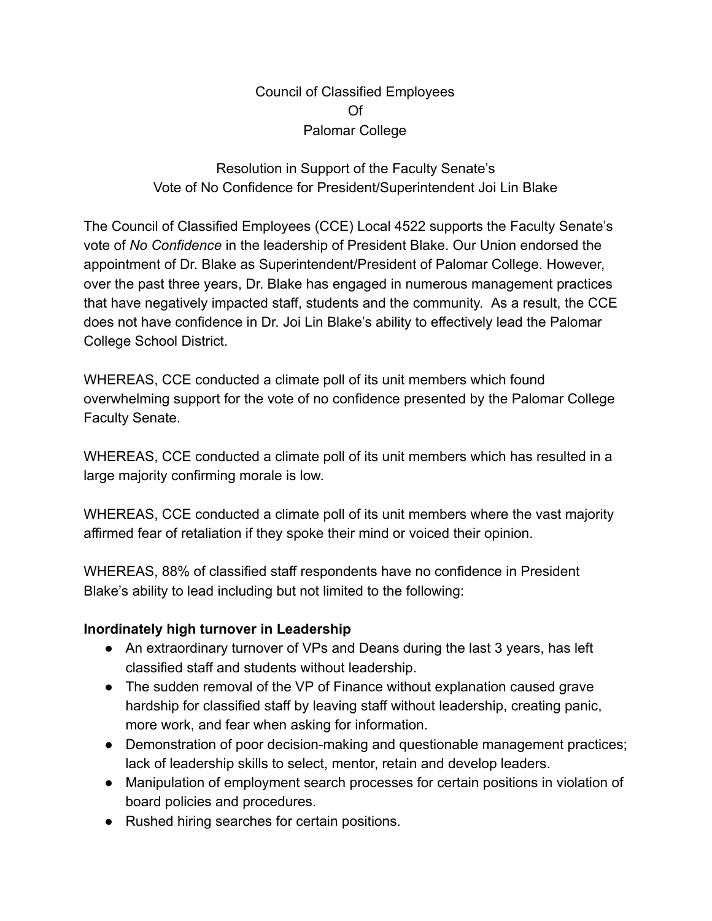#### Council of Classified Employees Of Palomar College

#### Resolution in Support of the Faculty Senate's Vote of No Confidence for President/Superintendent Joi Lin Blake

The Council of Classified Employees (CCE) Local 4522 supports the Faculty Senate's vote of *No Confidence* in the leadership of President Blake. Our Union endorsed the appointment of Dr. Blake as Superintendent/President of Palomar College. However, over the past three years, Dr. Blake has engaged in numerous management practices that have negatively impacted staff, students and the community. As a result, the CCE does not have confidence in Dr. Joi Lin Blake's ability to effectively lead the Palomar College School District.

WHEREAS, CCE conducted a climate poll of its unit members which found overwhelming support for the vote of no confidence presented by the Palomar College Faculty Senate.

WHEREAS, CCE conducted a climate poll of its unit members which has resulted in a large majority confirming morale is low.

WHEREAS, CCE conducted a climate poll of its unit members where the vast majority affirmed fear of retaliation if they spoke their mind or voiced their opinion.

WHEREAS, 88% of classified staff respondents have no confidence in President Blake's ability to lead including but not limited to the following:

## **Inordinately high turnover in Leadership**

- An extraordinary turnover of VPs and Deans during the last 3 years, has left classified staff and students without leadership.
- The sudden removal of the VP of Finance without explanation caused grave hardship for classified staff by leaving staff without leadership, creating panic, more work, and fear when asking for information.
- Demonstration of poor decision-making and questionable management practices; lack of leadership skills to select, mentor, retain and develop leaders.
- Manipulation of employment search processes for certain positions in violation of board policies and procedures.
- Rushed hiring searches for certain positions.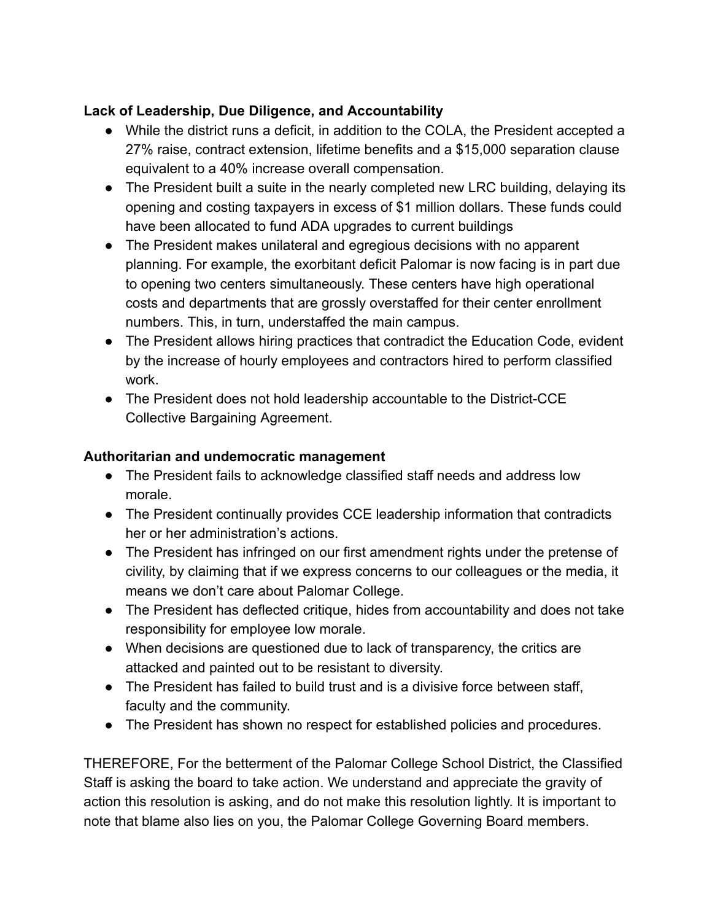# **Lack of Leadership, Due Diligence, and Accountability**

- While the district runs a deficit, in addition to the COLA, the President accepted a 27% raise, contract extension, lifetime benefits and a \$15,000 separation clause equivalent to a 40% increase overall compensation.
- The President built a suite in the nearly completed new LRC building, delaying its opening and costing taxpayers in excess of \$1 million dollars. These funds could have been allocated to fund ADA upgrades to current buildings
- The President makes unilateral and egregious decisions with no apparent planning. For example, the exorbitant deficit Palomar is now facing is in part due to opening two centers simultaneously. These centers have high operational costs and departments that are grossly overstaffed for their center enrollment numbers. This, in turn, understaffed the main campus.
- The President allows hiring practices that contradict the Education Code, evident by the increase of hourly employees and contractors hired to perform classified work.
- The President does not hold leadership accountable to the District-CCE Collective Bargaining Agreement.

## **Authoritarian and undemocratic management**

- The President fails to acknowledge classified staff needs and address low morale.
- The President continually provides CCE leadership information that contradicts her or her administration's actions.
- The President has infringed on our first amendment rights under the pretense of civility, by claiming that if we express concerns to our colleagues or the media, it means we don't care about Palomar College.
- The President has deflected critique, hides from accountability and does not take responsibility for employee low morale.
- When decisions are questioned due to lack of transparency, the critics are attacked and painted out to be resistant to diversity.
- The President has failed to build trust and is a divisive force between staff, faculty and the community.
- The President has shown no respect for established policies and procedures.

THEREFORE, For the betterment of the Palomar College School District, the Classified Staff is asking the board to take action. We understand and appreciate the gravity of action this resolution is asking, and do not make this resolution lightly. It is important to note that blame also lies on you, the Palomar College Governing Board members.